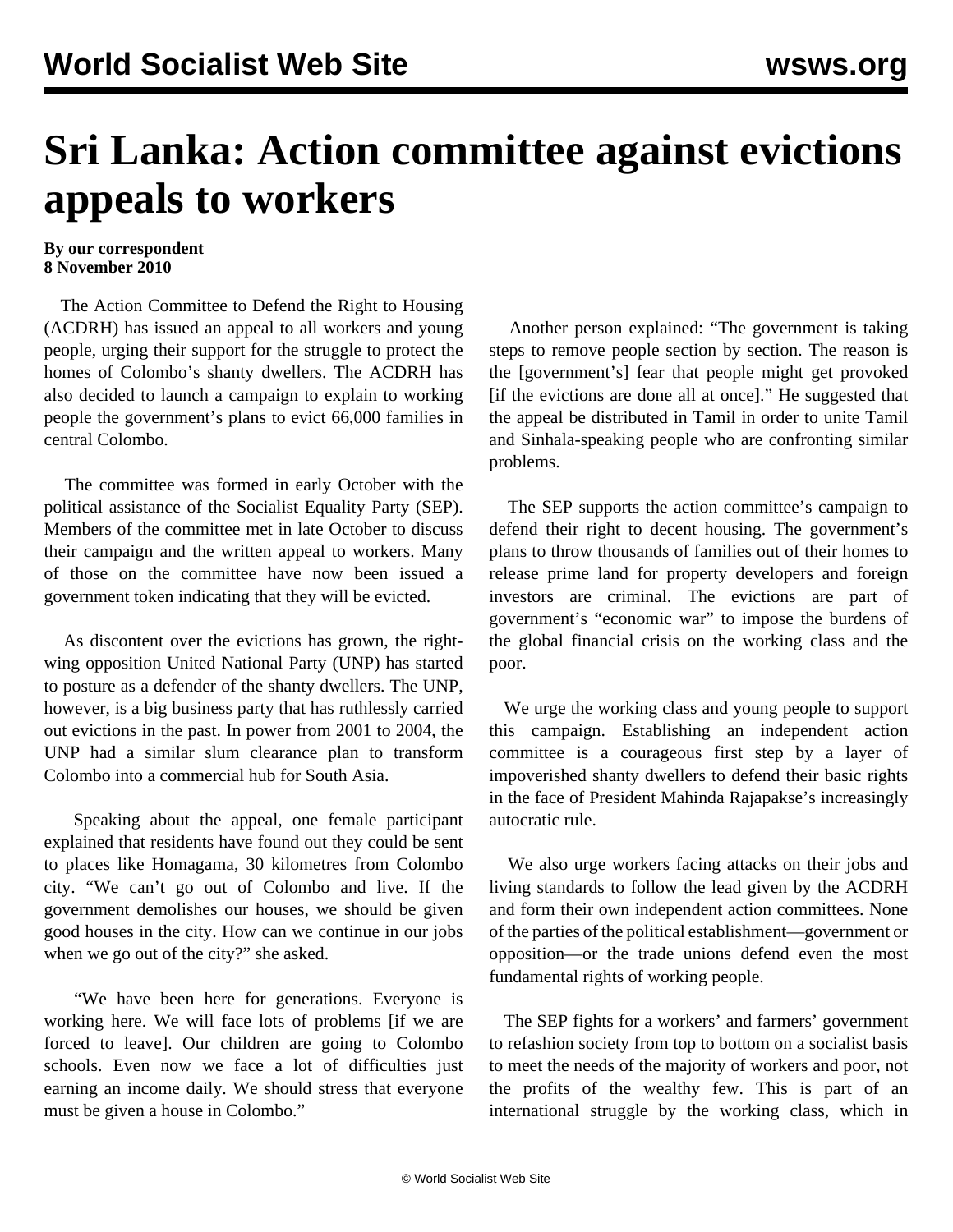## **Sri Lanka: Action committee against evictions appeals to workers**

## **By our correspondent 8 November 2010**

 The Action Committee to Defend the Right to Housing (ACDRH) has issued an appeal to all workers and young people, urging their support for the struggle to protect the homes of Colombo's shanty dwellers. The ACDRH has also decided to launch a campaign to explain to working people the government's plans to evict 66,000 families in central Colombo.

 The committee was formed in early October with the political assistance of the Socialist Equality Party (SEP). Members of the committee met in late October to discuss their campaign and the written appeal to workers. Many of those on the committee have now been issued a government token indicating that they will be evicted.

 As discontent over the evictions has grown, the rightwing opposition United National Party (UNP) has started to posture as a defender of the shanty dwellers. The UNP, however, is a big business party that has ruthlessly carried out evictions in the past. In power from 2001 to 2004, the UNP had a similar slum clearance plan to transform Colombo into a commercial hub for South Asia.

 Speaking about the appeal, one female participant explained that residents have found out they could be sent to places like Homagama, 30 kilometres from Colombo city. "We can't go out of Colombo and live. If the government demolishes our houses, we should be given good houses in the city. How can we continue in our jobs when we go out of the city?" she asked.

 "We have been here for generations. Everyone is working here. We will face lots of problems [if we are forced to leave]. Our children are going to Colombo schools. Even now we face a lot of difficulties just earning an income daily. We should stress that everyone must be given a house in Colombo."

 Another person explained: "The government is taking steps to remove people section by section. The reason is the [government's] fear that people might get provoked [if the evictions are done all at once]." He suggested that the appeal be distributed in Tamil in order to unite Tamil and Sinhala-speaking people who are confronting similar problems.

 The SEP supports the action committee's campaign to defend their right to decent housing. The government's plans to throw thousands of families out of their homes to release prime land for property developers and foreign investors are criminal. The evictions are part of government's "economic war" to impose the burdens of the global financial crisis on the working class and the poor.

 We urge the working class and young people to support this campaign. Establishing an independent action committee is a courageous first step by a layer of impoverished shanty dwellers to defend their basic rights in the face of President Mahinda Rajapakse's increasingly autocratic rule.

 We also urge workers facing attacks on their jobs and living standards to follow the lead given by the ACDRH and form their own independent action committees. None of the parties of the political establishment—government or opposition—or the trade unions defend even the most fundamental rights of working people.

 The SEP fights for a workers' and farmers' government to refashion society from top to bottom on a socialist basis to meet the needs of the majority of workers and poor, not the profits of the wealthy few. This is part of an international struggle by the working class, which in